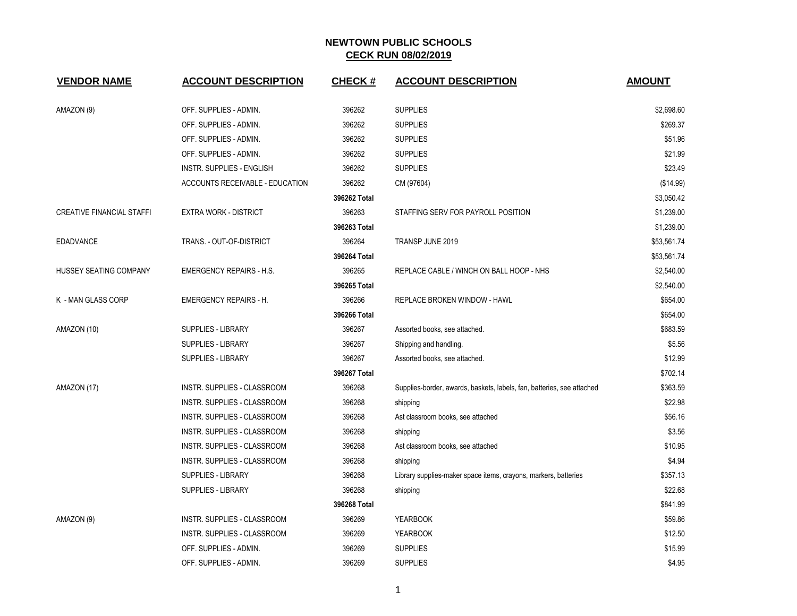| <b>VENDOR NAME</b>               | <b>ACCOUNT DESCRIPTION</b>         | <b>CHECK#</b> | <b>ACCOUNT DESCRIPTION</b>                                             | <b>AMOUNT</b> |
|----------------------------------|------------------------------------|---------------|------------------------------------------------------------------------|---------------|
| AMAZON (9)                       | OFF. SUPPLIES - ADMIN.             | 396262        | <b>SUPPLIES</b>                                                        | \$2,698.60    |
|                                  | OFF. SUPPLIES - ADMIN.             | 396262        | <b>SUPPLIES</b>                                                        | \$269.37      |
|                                  | OFF. SUPPLIES - ADMIN.             | 396262        | <b>SUPPLIES</b>                                                        | \$51.96       |
|                                  | OFF. SUPPLIES - ADMIN.             | 396262        | <b>SUPPLIES</b>                                                        | \$21.99       |
|                                  | INSTR. SUPPLIES - ENGLISH          | 396262        | <b>SUPPLIES</b>                                                        | \$23.49       |
|                                  | ACCOUNTS RECEIVABLE - EDUCATION    | 396262        | CM (97604)                                                             | (\$14.99)     |
|                                  |                                    | 396262 Total  |                                                                        | \$3,050.42    |
| <b>CREATIVE FINANCIAL STAFFI</b> | <b>EXTRA WORK - DISTRICT</b>       | 396263        | STAFFING SERV FOR PAYROLL POSITION                                     | \$1,239.00    |
|                                  |                                    | 396263 Total  |                                                                        | \$1,239.00    |
| <b>EDADVANCE</b>                 | TRANS. - OUT-OF-DISTRICT           | 396264        | TRANSP JUNE 2019                                                       | \$53,561.74   |
|                                  |                                    | 396264 Total  |                                                                        | \$53,561.74   |
| <b>HUSSEY SEATING COMPANY</b>    | <b>EMERGENCY REPAIRS - H.S.</b>    | 396265        | REPLACE CABLE / WINCH ON BALL HOOP - NHS                               | \$2,540.00    |
|                                  |                                    | 396265 Total  |                                                                        | \$2,540.00    |
| K - MAN GLASS CORP               | <b>EMERGENCY REPAIRS - H.</b>      | 396266        | REPLACE BROKEN WINDOW - HAWL                                           | \$654.00      |
|                                  |                                    | 396266 Total  |                                                                        | \$654.00      |
| AMAZON (10)                      | <b>SUPPLIES - LIBRARY</b>          | 396267        | Assorted books, see attached.                                          | \$683.59      |
|                                  | SUPPLIES - LIBRARY                 | 396267        | Shipping and handling.                                                 | \$5.56        |
|                                  | <b>SUPPLIES - LIBRARY</b>          | 396267        | Assorted books, see attached.                                          | \$12.99       |
|                                  |                                    | 396267 Total  |                                                                        | \$702.14      |
| AMAZON (17)                      | <b>INSTR. SUPPLIES - CLASSROOM</b> | 396268        | Supplies-border, awards, baskets, labels, fan, batteries, see attached | \$363.59      |
|                                  | INSTR. SUPPLIES - CLASSROOM        | 396268        | shipping                                                               | \$22.98       |
|                                  | INSTR. SUPPLIES - CLASSROOM        | 396268        | Ast classroom books, see attached                                      | \$56.16       |
|                                  | INSTR. SUPPLIES - CLASSROOM        | 396268        | shipping                                                               | \$3.56        |
|                                  | INSTR. SUPPLIES - CLASSROOM        | 396268        | Ast classroom books, see attached                                      | \$10.95       |
|                                  | INSTR. SUPPLIES - CLASSROOM        | 396268        | shipping                                                               | \$4.94        |
|                                  | <b>SUPPLIES - LIBRARY</b>          | 396268        | Library supplies-maker space items, crayons, markers, batteries        | \$357.13      |
|                                  | <b>SUPPLIES - LIBRARY</b>          | 396268        | shipping                                                               | \$22.68       |
|                                  |                                    | 396268 Total  |                                                                        | \$841.99      |
| AMAZON (9)                       | INSTR. SUPPLIES - CLASSROOM        | 396269        | <b>YEARBOOK</b>                                                        | \$59.86       |
|                                  | INSTR. SUPPLIES - CLASSROOM        | 396269        | <b>YEARBOOK</b>                                                        | \$12.50       |
|                                  | OFF. SUPPLIES - ADMIN.             | 396269        | <b>SUPPLIES</b>                                                        | \$15.99       |
|                                  | OFF. SUPPLIES - ADMIN.             | 396269        | <b>SUPPLIES</b>                                                        | \$4.95        |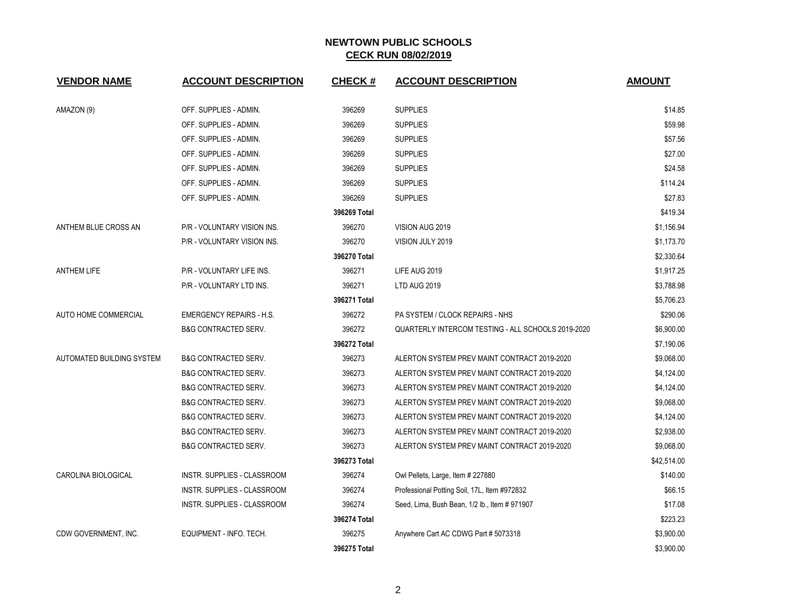| <b>VENDOR NAME</b>          | <b>ACCOUNT DESCRIPTION</b>      | <b>CHECK#</b> | <b>ACCOUNT DESCRIPTION</b>                         | <b>AMOUNT</b> |
|-----------------------------|---------------------------------|---------------|----------------------------------------------------|---------------|
| AMAZON (9)                  | OFF. SUPPLIES - ADMIN.          | 396269        | <b>SUPPLIES</b>                                    | \$14.85       |
|                             | OFF. SUPPLIES - ADMIN.          | 396269        | <b>SUPPLIES</b>                                    | \$59.98       |
|                             | OFF. SUPPLIES - ADMIN.          | 396269        | <b>SUPPLIES</b>                                    | \$57.56       |
|                             | OFF. SUPPLIES - ADMIN.          | 396269        | <b>SUPPLIES</b>                                    | \$27.00       |
|                             | OFF. SUPPLIES - ADMIN.          | 396269        | <b>SUPPLIES</b>                                    | \$24.58       |
|                             | OFF. SUPPLIES - ADMIN.          | 396269        | <b>SUPPLIES</b>                                    | \$114.24      |
|                             | OFF. SUPPLIES - ADMIN.          | 396269        | <b>SUPPLIES</b>                                    | \$27.83       |
|                             |                                 | 396269 Total  |                                                    | \$419.34      |
| ANTHEM BLUE CROSS AN        | P/R - VOLUNTARY VISION INS.     | 396270        | VISION AUG 2019                                    | \$1,156.94    |
|                             | P/R - VOLUNTARY VISION INS.     | 396270        | VISION JULY 2019                                   | \$1,173.70    |
|                             |                                 | 396270 Total  |                                                    | \$2,330.64    |
| <b>ANTHEM LIFE</b>          | P/R - VOLUNTARY LIFE INS.       | 396271        | LIFE AUG 2019                                      | \$1,917.25    |
|                             | P/R - VOLUNTARY LTD INS.        | 396271        | LTD AUG 2019                                       | \$3,788.98    |
|                             |                                 | 396271 Total  |                                                    | \$5,706.23    |
| <b>AUTO HOME COMMERCIAL</b> | <b>EMERGENCY REPAIRS - H.S.</b> | 396272        | PA SYSTEM / CLOCK REPAIRS - NHS                    | \$290.06      |
|                             | <b>B&amp;G CONTRACTED SERV.</b> | 396272        | QUARTERLY INTERCOM TESTING - ALL SCHOOLS 2019-2020 | \$6,900.00    |
|                             |                                 | 396272 Total  |                                                    | \$7,190.06    |
| AUTOMATED BUILDING SYSTEM   | <b>B&amp;G CONTRACTED SERV.</b> | 396273        | ALERTON SYSTEM PREV MAINT CONTRACT 2019-2020       | \$9,068.00    |
|                             | <b>B&amp;G CONTRACTED SERV.</b> | 396273        | ALERTON SYSTEM PREV MAINT CONTRACT 2019-2020       | \$4,124.00    |
|                             | <b>B&amp;G CONTRACTED SERV.</b> | 396273        | ALERTON SYSTEM PREV MAINT CONTRACT 2019-2020       | \$4,124.00    |
|                             | <b>B&amp;G CONTRACTED SERV.</b> | 396273        | ALERTON SYSTEM PREV MAINT CONTRACT 2019-2020       | \$9,068.00    |
|                             | <b>B&amp;G CONTRACTED SERV.</b> | 396273        | ALERTON SYSTEM PREV MAINT CONTRACT 2019-2020       | \$4,124.00    |
|                             | <b>B&amp;G CONTRACTED SERV.</b> | 396273        | ALERTON SYSTEM PREV MAINT CONTRACT 2019-2020       | \$2,938.00    |
|                             | <b>B&amp;G CONTRACTED SERV.</b> | 396273        | ALERTON SYSTEM PREV MAINT CONTRACT 2019-2020       | \$9,068.00    |
|                             |                                 | 396273 Total  |                                                    | \$42,514.00   |
| CAROLINA BIOLOGICAL         | INSTR. SUPPLIES - CLASSROOM     | 396274        | Owl Pellets, Large, Item # 227880                  | \$140.00      |
|                             | INSTR. SUPPLIES - CLASSROOM     | 396274        | Professional Potting Soil, 17L, Item #972832       | \$66.15       |
|                             | INSTR. SUPPLIES - CLASSROOM     | 396274        | Seed, Lima, Bush Bean, 1/2 lb., Item # 971907      | \$17.08       |
|                             |                                 | 396274 Total  |                                                    | \$223.23      |
| CDW GOVERNMENT, INC.        | EQUIPMENT - INFO. TECH.         | 396275        | Anywhere Cart AC CDWG Part # 5073318               | \$3,900.00    |
|                             |                                 | 396275 Total  |                                                    | \$3,900.00    |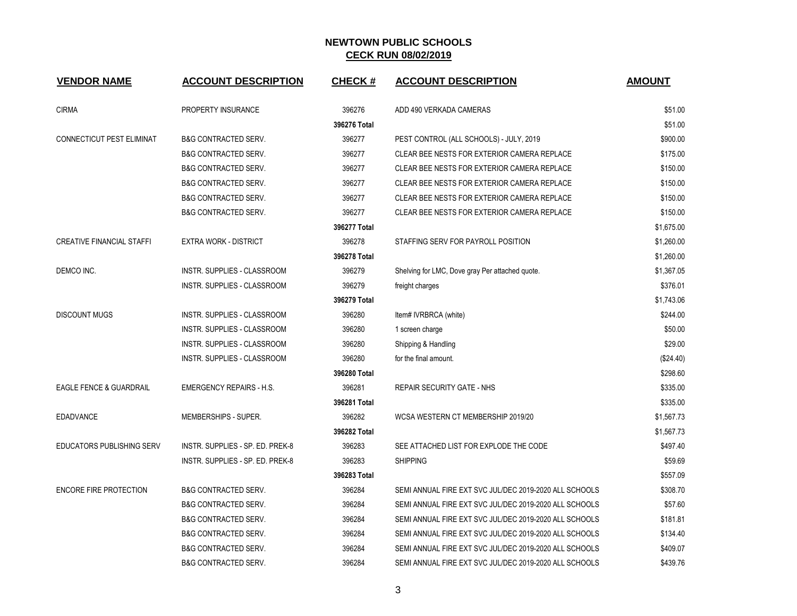| <b>VENDOR NAME</b>                 | <b>ACCOUNT DESCRIPTION</b>         | <b>CHECK#</b> | <b>ACCOUNT DESCRIPTION</b>                             | <b>AMOUNT</b> |
|------------------------------------|------------------------------------|---------------|--------------------------------------------------------|---------------|
| <b>CIRMA</b>                       | PROPERTY INSURANCE                 | 396276        | ADD 490 VERKADA CAMERAS                                | \$51.00       |
|                                    |                                    | 396276 Total  |                                                        | \$51.00       |
| CONNECTICUT PEST ELIMINAT          | <b>B&amp;G CONTRACTED SERV.</b>    | 396277        | PEST CONTROL (ALL SCHOOLS) - JULY, 2019                | \$900.00      |
|                                    | <b>B&amp;G CONTRACTED SERV.</b>    | 396277        | CLEAR BEE NESTS FOR EXTERIOR CAMERA REPLACE            | \$175.00      |
|                                    | <b>B&amp;G CONTRACTED SERV.</b>    | 396277        | CLEAR BEE NESTS FOR EXTERIOR CAMERA REPLACE            | \$150.00      |
|                                    | <b>B&amp;G CONTRACTED SERV.</b>    | 396277        | CLEAR BEE NESTS FOR EXTERIOR CAMERA REPLACE            | \$150.00      |
|                                    | <b>B&amp;G CONTRACTED SERV.</b>    | 396277        | CLEAR BEE NESTS FOR EXTERIOR CAMERA REPLACE            | \$150.00      |
|                                    | <b>B&amp;G CONTRACTED SERV.</b>    | 396277        | CLEAR BEE NESTS FOR EXTERIOR CAMERA REPLACE            | \$150.00      |
|                                    |                                    | 396277 Total  |                                                        | \$1,675.00    |
| <b>CREATIVE FINANCIAL STAFFI</b>   | <b>EXTRA WORK - DISTRICT</b>       | 396278        | STAFFING SERV FOR PAYROLL POSITION                     | \$1,260.00    |
|                                    |                                    | 396278 Total  |                                                        | \$1,260.00    |
| DEMCO INC.                         | <b>INSTR. SUPPLIES - CLASSROOM</b> | 396279        | Shelving for LMC, Dove gray Per attached quote.        | \$1,367.05    |
|                                    | INSTR. SUPPLIES - CLASSROOM        | 396279        | freight charges                                        | \$376.01      |
|                                    |                                    | 396279 Total  |                                                        | \$1,743.06    |
| <b>DISCOUNT MUGS</b>               | <b>INSTR. SUPPLIES - CLASSROOM</b> | 396280        | Item# IVRBRCA (white)                                  | \$244.00      |
|                                    | <b>INSTR. SUPPLIES - CLASSROOM</b> | 396280        | 1 screen charge                                        | \$50.00       |
|                                    | INSTR. SUPPLIES - CLASSROOM        | 396280        | Shipping & Handling                                    | \$29.00       |
|                                    | INSTR. SUPPLIES - CLASSROOM        | 396280        | for the final amount.                                  | (\$24.40)     |
|                                    |                                    | 396280 Total  |                                                        | \$298.60      |
| <b>EAGLE FENCE &amp; GUARDRAIL</b> | <b>EMERGENCY REPAIRS - H.S.</b>    | 396281        | <b>REPAIR SECURITY GATE - NHS</b>                      | \$335.00      |
|                                    |                                    | 396281 Total  |                                                        | \$335.00      |
| <b>EDADVANCE</b>                   | MEMBERSHIPS - SUPER.               | 396282        | WCSA WESTERN CT MEMBERSHIP 2019/20                     | \$1,567.73    |
|                                    |                                    | 396282 Total  |                                                        | \$1,567.73    |
| <b>EDUCATORS PUBLISHING SERV</b>   | INSTR. SUPPLIES - SP. ED. PREK-8   | 396283        | SEE ATTACHED LIST FOR EXPLODE THE CODE                 | \$497.40      |
|                                    | INSTR. SUPPLIES - SP. ED. PREK-8   | 396283        | <b>SHIPPING</b>                                        | \$59.69       |
|                                    |                                    | 396283 Total  |                                                        | \$557.09      |
| <b>ENCORE FIRE PROTECTION</b>      | <b>B&amp;G CONTRACTED SERV.</b>    | 396284        | SEMI ANNUAL FIRE EXT SVC JUL/DEC 2019-2020 ALL SCHOOLS | \$308.70      |
|                                    | <b>B&amp;G CONTRACTED SERV.</b>    | 396284        | SEMI ANNUAL FIRE EXT SVC JUL/DEC 2019-2020 ALL SCHOOLS | \$57.60       |
|                                    | <b>B&amp;G CONTRACTED SERV.</b>    | 396284        | SEMI ANNUAL FIRE EXT SVC JUL/DEC 2019-2020 ALL SCHOOLS | \$181.81      |
|                                    | <b>B&amp;G CONTRACTED SERV.</b>    | 396284        | SEMI ANNUAL FIRE EXT SVC JUL/DEC 2019-2020 ALL SCHOOLS | \$134.40      |
|                                    | <b>B&amp;G CONTRACTED SERV.</b>    | 396284        | SEMI ANNUAL FIRE EXT SVC JUL/DEC 2019-2020 ALL SCHOOLS | \$409.07      |
|                                    | <b>B&amp;G CONTRACTED SERV.</b>    | 396284        | SEMI ANNUAL FIRE EXT SVC JUL/DEC 2019-2020 ALL SCHOOLS | \$439.76      |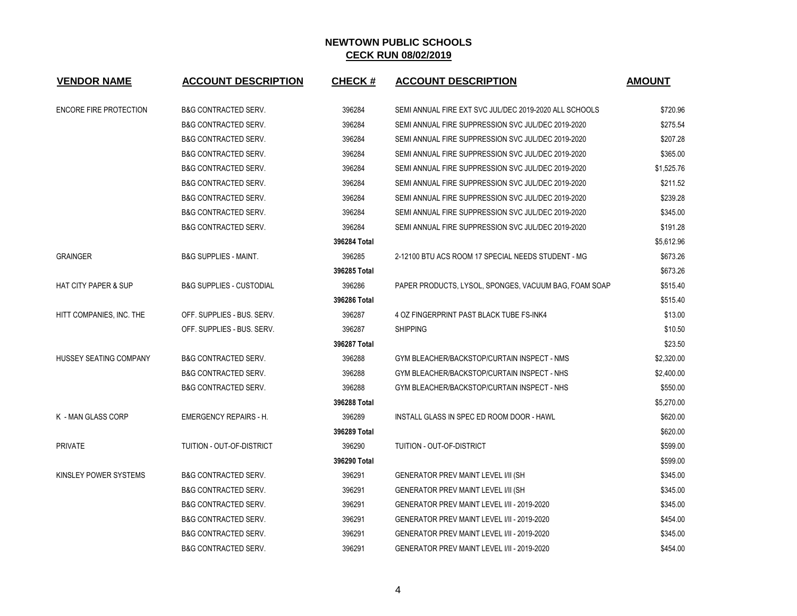| <b>VENDOR NAME</b>              | <b>ACCOUNT DESCRIPTION</b>          | <b>CHECK#</b> | <b>ACCOUNT DESCRIPTION</b>                             | <b>AMOUNT</b> |
|---------------------------------|-------------------------------------|---------------|--------------------------------------------------------|---------------|
| <b>ENCORE FIRE PROTECTION</b>   | <b>B&amp;G CONTRACTED SERV.</b>     | 396284        | SEMI ANNUAL FIRE EXT SVC JUL/DEC 2019-2020 ALL SCHOOLS | \$720.96      |
|                                 | <b>B&amp;G CONTRACTED SERV.</b>     | 396284        | SEMI ANNUAL FIRE SUPPRESSION SVC JUL/DEC 2019-2020     | \$275.54      |
|                                 | <b>B&amp;G CONTRACTED SERV.</b>     | 396284        | SEMI ANNUAL FIRE SUPPRESSION SVC JUL/DEC 2019-2020     | \$207.28      |
|                                 | <b>B&amp;G CONTRACTED SERV.</b>     | 396284        | SEMI ANNUAL FIRE SUPPRESSION SVC JUL/DEC 2019-2020     | \$365.00      |
|                                 | <b>B&amp;G CONTRACTED SERV.</b>     | 396284        | SEMI ANNUAL FIRE SUPPRESSION SVC JUL/DEC 2019-2020     | \$1,525.76    |
|                                 | <b>B&amp;G CONTRACTED SERV.</b>     | 396284        | SEMI ANNUAL FIRE SUPPRESSION SVC JUL/DEC 2019-2020     | \$211.52      |
|                                 | <b>B&amp;G CONTRACTED SERV.</b>     | 396284        | SEMI ANNUAL FIRE SUPPRESSION SVC JUL/DEC 2019-2020     | \$239.28      |
|                                 | <b>B&amp;G CONTRACTED SERV.</b>     | 396284        | SEMI ANNUAL FIRE SUPPRESSION SVC JUL/DEC 2019-2020     | \$345.00      |
|                                 | <b>B&amp;G CONTRACTED SERV.</b>     | 396284        | SEMI ANNUAL FIRE SUPPRESSION SVC JUL/DEC 2019-2020     | \$191.28      |
|                                 |                                     | 396284 Total  |                                                        | \$5,612.96    |
| <b>GRAINGER</b>                 | <b>B&amp;G SUPPLIES - MAINT.</b>    | 396285        | 2-12100 BTU ACS ROOM 17 SPECIAL NEEDS STUDENT - MG     | \$673.26      |
|                                 |                                     | 396285 Total  |                                                        | \$673.26      |
| <b>HAT CITY PAPER &amp; SUP</b> | <b>B&amp;G SUPPLIES - CUSTODIAL</b> | 396286        | PAPER PRODUCTS, LYSOL, SPONGES, VACUUM BAG, FOAM SOAP  | \$515.40      |
|                                 |                                     | 396286 Total  |                                                        | \$515.40      |
| HITT COMPANIES, INC. THE        | OFF. SUPPLIES - BUS. SERV.          | 396287        | 4 OZ FINGERPRINT PAST BLACK TUBE FS-INK4               | \$13.00       |
|                                 | OFF. SUPPLIES - BUS. SERV.          | 396287        | <b>SHIPPING</b>                                        | \$10.50       |
|                                 |                                     | 396287 Total  |                                                        | \$23.50       |
| HUSSEY SEATING COMPANY          | <b>B&amp;G CONTRACTED SERV.</b>     | 396288        | GYM BLEACHER/BACKSTOP/CURTAIN INSPECT - NMS            | \$2,320.00    |
|                                 | <b>B&amp;G CONTRACTED SERV.</b>     | 396288        | GYM BLEACHER/BACKSTOP/CURTAIN INSPECT - NHS            | \$2,400.00    |
|                                 | <b>B&amp;G CONTRACTED SERV.</b>     | 396288        | GYM BLEACHER/BACKSTOP/CURTAIN INSPECT - NHS            | \$550.00      |
|                                 |                                     | 396288 Total  |                                                        | \$5,270.00    |
| K - MAN GLASS CORP              | <b>EMERGENCY REPAIRS - H.</b>       | 396289        | INSTALL GLASS IN SPEC ED ROOM DOOR - HAWL              | \$620.00      |
|                                 |                                     | 396289 Total  |                                                        | \$620.00      |
| <b>PRIVATE</b>                  | TUITION - OUT-OF-DISTRICT           | 396290        | <b>TUITION - OUT-OF-DISTRICT</b>                       | \$599.00      |
|                                 |                                     | 396290 Total  |                                                        | \$599.00      |
| KINSLEY POWER SYSTEMS           | <b>B&amp;G CONTRACTED SERV.</b>     | 396291        | <b>GENERATOR PREV MAINT LEVEL I/II (SH</b>             | \$345.00      |
|                                 | <b>B&amp;G CONTRACTED SERV.</b>     | 396291        | <b>GENERATOR PREV MAINT LEVEL I/II (SH</b>             | \$345.00      |
|                                 | <b>B&amp;G CONTRACTED SERV.</b>     | 396291        | GENERATOR PREV MAINT LEVEL I/II - 2019-2020            | \$345.00      |
|                                 | <b>B&amp;G CONTRACTED SERV.</b>     | 396291        | GENERATOR PREV MAINT LEVEL I/II - 2019-2020            | \$454.00      |
|                                 | <b>B&amp;G CONTRACTED SERV.</b>     | 396291        | GENERATOR PREV MAINT LEVEL I/II - 2019-2020            | \$345.00      |
|                                 | <b>B&amp;G CONTRACTED SERV.</b>     | 396291        | <b>GENERATOR PREV MAINT LEVEL I/II - 2019-2020</b>     | \$454.00      |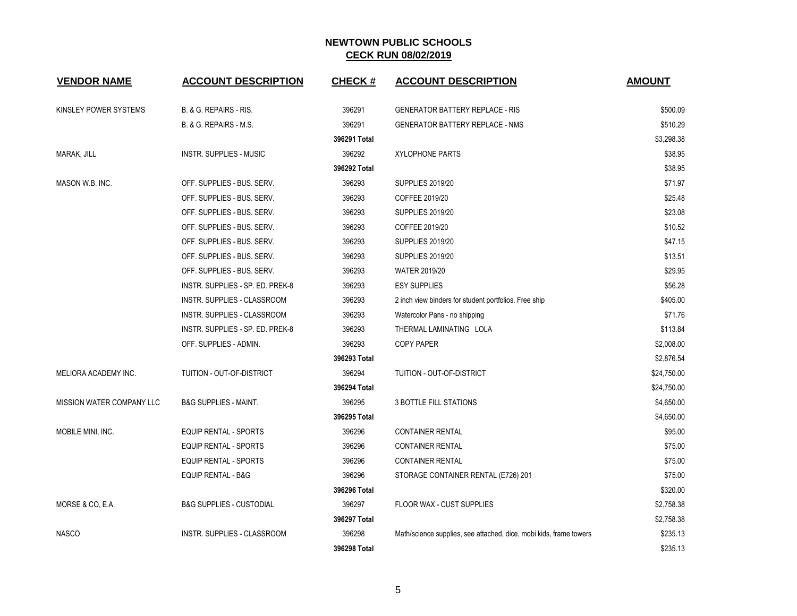| <b>VENDOR NAME</b>               | <b>ACCOUNT DESCRIPTION</b>          | <b>CHECK#</b> | <b>ACCOUNT DESCRIPTION</b>                                         | <b>AMOUNT</b> |
|----------------------------------|-------------------------------------|---------------|--------------------------------------------------------------------|---------------|
| KINSLEY POWER SYSTEMS            | B. & G. REPAIRS - RIS.              | 396291        | <b>GENERATOR BATTERY REPLACE - RIS</b>                             | \$500.09      |
|                                  | B. & G. REPAIRS - M.S.              | 396291        | <b>GENERATOR BATTERY REPLACE - NMS</b>                             | \$510.29      |
|                                  |                                     | 396291 Total  |                                                                    | \$3,298.38    |
| MARAK, JILL                      | <b>INSTR. SUPPLIES - MUSIC</b>      | 396292        | <b>XYLOPHONE PARTS</b>                                             | \$38.95       |
|                                  |                                     | 396292 Total  |                                                                    | \$38.95       |
| MASON W.B. INC.                  | OFF. SUPPLIES - BUS. SERV.          | 396293        | <b>SUPPLIES 2019/20</b>                                            | \$71.97       |
|                                  | OFF. SUPPLIES - BUS. SERV.          | 396293        | COFFEE 2019/20                                                     | \$25.48       |
|                                  | OFF. SUPPLIES - BUS. SERV.          | 396293        | <b>SUPPLIES 2019/20</b>                                            | \$23.08       |
|                                  | OFF. SUPPLIES - BUS. SERV.          | 396293        | COFFEE 2019/20                                                     | \$10.52       |
|                                  | OFF. SUPPLIES - BUS. SERV.          | 396293        | <b>SUPPLIES 2019/20</b>                                            | \$47.15       |
|                                  | OFF. SUPPLIES - BUS. SERV.          | 396293        | <b>SUPPLIES 2019/20</b>                                            | \$13.51       |
|                                  | OFF. SUPPLIES - BUS. SERV.          | 396293        | <b>WATER 2019/20</b>                                               | \$29.95       |
|                                  | INSTR. SUPPLIES - SP. ED. PREK-8    | 396293        | <b>ESY SUPPLIES</b>                                                | \$56.28       |
|                                  | <b>INSTR. SUPPLIES - CLASSROOM</b>  | 396293        | 2 inch view binders for student portfolios. Free ship              | \$405.00      |
|                                  | INSTR. SUPPLIES - CLASSROOM         | 396293        | Watercolor Pans - no shipping                                      | \$71.76       |
|                                  | INSTR. SUPPLIES - SP. ED. PREK-8    | 396293        | THERMAL LAMINATING LOLA                                            | \$113.84      |
|                                  | OFF. SUPPLIES - ADMIN.              | 396293        | <b>COPY PAPER</b>                                                  | \$2,008.00    |
|                                  |                                     | 396293 Total  |                                                                    | \$2,876.54    |
| MELIORA ACADEMY INC.             | TUITION - OUT-OF-DISTRICT           | 396294        | TUITION - OUT-OF-DISTRICT                                          | \$24,750.00   |
|                                  |                                     | 396294 Total  |                                                                    | \$24,750.00   |
| <b>MISSION WATER COMPANY LLC</b> | <b>B&amp;G SUPPLIES - MAINT.</b>    | 396295        | <b>3 BOTTLE FILL STATIONS</b>                                      | \$4,650.00    |
|                                  |                                     | 396295 Total  |                                                                    | \$4,650.00    |
| MOBILE MINI, INC.                | <b>EQUIP RENTAL - SPORTS</b>        | 396296        | <b>CONTAINER RENTAL</b>                                            | \$95.00       |
|                                  | <b>EQUIP RENTAL - SPORTS</b>        | 396296        | <b>CONTAINER RENTAL</b>                                            | \$75.00       |
|                                  | EQUIP RENTAL - SPORTS               | 396296        | <b>CONTAINER RENTAL</b>                                            | \$75.00       |
|                                  | <b>EQUIP RENTAL - B&amp;G</b>       | 396296        | STORAGE CONTAINER RENTAL (E726) 201                                | \$75.00       |
|                                  |                                     | 396296 Total  |                                                                    | \$320.00      |
| MORSE & CO, E.A.                 | <b>B&amp;G SUPPLIES - CUSTODIAL</b> | 396297        | <b>FLOOR WAX - CUST SUPPLIES</b>                                   | \$2,758.38    |
|                                  |                                     | 396297 Total  |                                                                    | \$2,758.38    |
| <b>NASCO</b>                     | INSTR. SUPPLIES - CLASSROOM         | 396298        | Math/science supplies, see attached, dice, mobi kids, frame towers | \$235.13      |
|                                  |                                     | 396298 Total  |                                                                    | \$235.13      |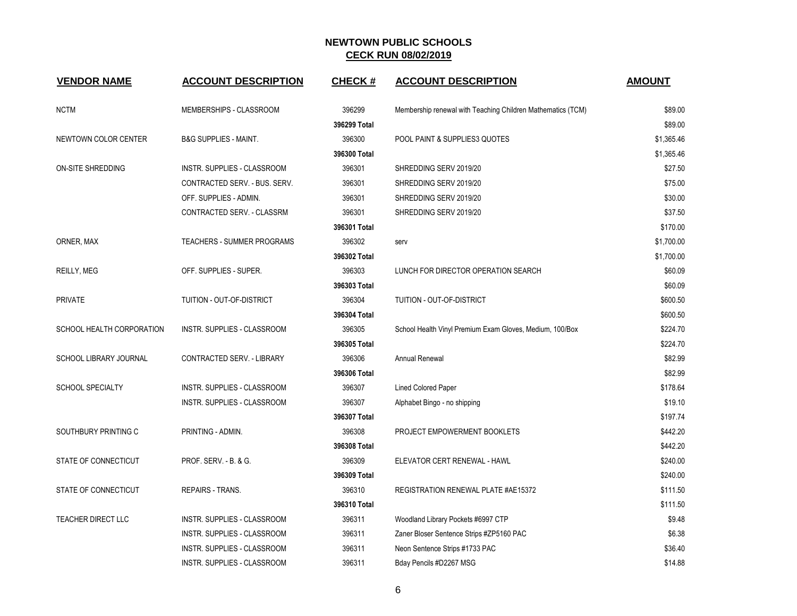| <b>VENDOR NAME</b>            | <b>ACCOUNT DESCRIPTION</b>       | <b>CHECK#</b> | <b>ACCOUNT DESCRIPTION</b>                                  | <b>AMOUNT</b> |
|-------------------------------|----------------------------------|---------------|-------------------------------------------------------------|---------------|
| <b>NCTM</b>                   | MEMBERSHIPS - CLASSROOM          | 396299        | Membership renewal with Teaching Children Mathematics (TCM) | \$89.00       |
|                               |                                  | 396299 Total  |                                                             | \$89.00       |
| NEWTOWN COLOR CENTER          | <b>B&amp;G SUPPLIES - MAINT.</b> | 396300        | POOL PAINT & SUPPLIES3 QUOTES                               | \$1,365.46    |
|                               |                                  | 396300 Total  |                                                             | \$1,365.46    |
| ON-SITE SHREDDING             | INSTR. SUPPLIES - CLASSROOM      | 396301        | SHREDDING SERV 2019/20                                      | \$27.50       |
|                               | CONTRACTED SERV. - BUS. SERV.    | 396301        | SHREDDING SERV 2019/20                                      | \$75.00       |
|                               | OFF. SUPPLIES - ADMIN.           | 396301        | SHREDDING SERV 2019/20                                      | \$30.00       |
|                               | CONTRACTED SERV. - CLASSRM       | 396301        | SHREDDING SERV 2019/20                                      | \$37.50       |
|                               |                                  | 396301 Total  |                                                             | \$170.00      |
| ORNER, MAX                    | TEACHERS - SUMMER PROGRAMS       | 396302        | serv                                                        | \$1,700.00    |
|                               |                                  | 396302 Total  |                                                             | \$1,700.00    |
| REILLY, MEG                   | OFF. SUPPLIES - SUPER.           | 396303        | LUNCH FOR DIRECTOR OPERATION SEARCH                         | \$60.09       |
|                               |                                  | 396303 Total  |                                                             | \$60.09       |
| <b>PRIVATE</b>                | TUITION - OUT-OF-DISTRICT        | 396304        | TUITION - OUT-OF-DISTRICT                                   | \$600.50      |
|                               |                                  | 396304 Total  |                                                             | \$600.50      |
| SCHOOL HEALTH CORPORATION     | INSTR. SUPPLIES - CLASSROOM      | 396305        | School Health Vinyl Premium Exam Gloves, Medium, 100/Box    | \$224.70      |
|                               |                                  | 396305 Total  |                                                             | \$224.70      |
| <b>SCHOOL LIBRARY JOURNAL</b> | CONTRACTED SERV. - LIBRARY       | 396306        | <b>Annual Renewal</b>                                       | \$82.99       |
|                               |                                  | 396306 Total  |                                                             | \$82.99       |
| <b>SCHOOL SPECIALTY</b>       | INSTR. SUPPLIES - CLASSROOM      | 396307        | <b>Lined Colored Paper</b>                                  | \$178.64      |
|                               | INSTR. SUPPLIES - CLASSROOM      | 396307        | Alphabet Bingo - no shipping                                | \$19.10       |
|                               |                                  | 396307 Total  |                                                             | \$197.74      |
| SOUTHBURY PRINTING C          | PRINTING - ADMIN.                | 396308        | PROJECT EMPOWERMENT BOOKLETS                                | \$442.20      |
|                               |                                  | 396308 Total  |                                                             | \$442.20      |
| STATE OF CONNECTICUT          | PROF. SERV. - B. & G.            | 396309        | ELEVATOR CERT RENEWAL - HAWL                                | \$240.00      |
|                               |                                  | 396309 Total  |                                                             | \$240.00      |
| STATE OF CONNECTICUT          | REPAIRS - TRANS.                 | 396310        | REGISTRATION RENEWAL PLATE #AE15372                         | \$111.50      |
|                               |                                  | 396310 Total  |                                                             | \$111.50      |
| <b>TEACHER DIRECT LLC</b>     | INSTR. SUPPLIES - CLASSROOM      | 396311        | Woodland Library Pockets #6997 CTP                          | \$9.48        |
|                               | INSTR. SUPPLIES - CLASSROOM      | 396311        | Zaner Bloser Sentence Strips #ZP5160 PAC                    | \$6.38        |
|                               | INSTR. SUPPLIES - CLASSROOM      | 396311        | Neon Sentence Strips #1733 PAC                              | \$36.40       |
|                               | INSTR. SUPPLIES - CLASSROOM      | 396311        | Bday Pencils #D2267 MSG                                     | \$14.88       |